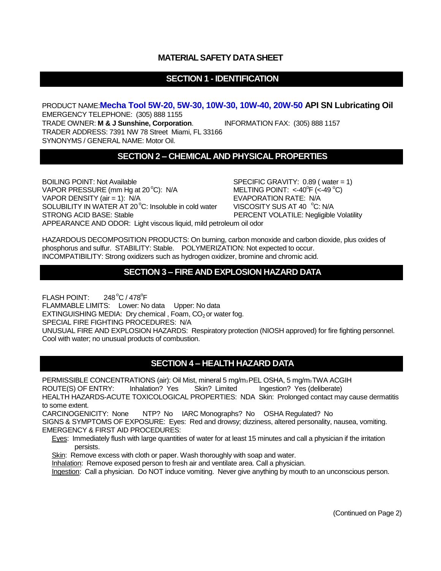#### **MATERIAL SAFETY DATA SHEET**

# **SECTION 1 - IDENTIFICATION**

PRODUCT NAME:**Mecha Tool 5W-20, 5W-30, 10W-30, 10W-40, 20W-50 API SN Lubricating Oil** EMERGENCY TELEPHONE: (305) 888 1155 TRADE OWNER: **M & J Sunshine, Corporation**. INFORMATION FAX: (305) 888 1157 TRADER ADDRESS: 7391 NW 78 Street Miami, FL 33166 SYNONYMS / GENERAL NAME: Motor Oil.

## **SECTION 2 – CHEMICAL AND PHYSICAL PROPERTIES**

BOILING POINT: Not Available SPECIFIC GRAVITY: 0.89 (water = 1) VAPOR PRESSURE (mm Hg at  $20^{\circ}$ C): N/A VAPOR DENSITY (air = 1): N/A EVAPORATION RATE: N/A SOLUBILITY IN WATER AT 20 $\degree$ C: Insoluble in cold water VISCOSITY SUS AT 40  $\degree$ C: N/A STRONG ACID BASE: Stable **PERCENT VOLATILE: Negligible Volatility** APPEARANCE AND ODOR: Light viscous liquid, mild petroleum oil odor

MELTING POINT:  $<$ -40<sup>o</sup>F ( $<$ -49<sup>o</sup>C)

HAZARDOUS DECOMPOSITION PRODUCTS: On burning, carbon monoxide and carbon dioxide, plus oxides of phosphorus and sulfur. STABILITY: Stable. POLYMERIZATION: Not expected to occur. INCOMPATIBILITY: Strong oxidizers such as hydrogen oxidizer, bromine and chromic acid.

#### **SECTION 3 – FIRE AND EXPLOSION HAZARD DATA**

FLASH POINT: 248 °C / 478 °F FLAMMABLE LIMITS: Lower: No data Upper: No data EXTINGUISHING MEDIA: Dry chemical, Foam,  $CO<sub>2</sub>$  or water fog. SPECIAL FIRE FIGHTING PROCEDURES: N/A UNUSUAL FIRE AND EXPLOSION HAZARDS: Respiratory protection (NIOSH approved) for fire fighting personnel. Cool with water; no unusual products of combustion.

## **SECTION 4 – HEALTH HAZARD DATA**

PERMISSIBLE CONCENTRATIONS (air): Oil Mist, mineral 5 mg/m3PEL OSHA, 5 mg/m3TWA ACGIH ROUTE(S) OF ENTRY: Inhalation? Yes Skin? Limited Ingestion? Yes (deliberate) HEALTH HAZARDS-ACUTE TOXICOLOGICAL PROPERTIES: NDA Skin: Prolonged contact may cause dermatitis to some extent.

CARCINOGENICITY: None NTP? No IARC Monographs? No OSHA Regulated? No SIGNS & SYMPTOMS OF EXPOSURE: Eyes: Red and drowsy; dizziness, altered personality, nausea, vomiting. EMERGENCY & FIRST AID PROCEDURES:

Eyes: Immediately flush with large quantities of water for at least 15 minutes and call a physician if the irritation persists.

Skin: Remove excess with cloth or paper. Wash thoroughly with soap and water.

Inhalation: Remove exposed person to fresh air and ventilate area. Call a physician.

Ingestion: Call a physician. Do NOT induce vomiting. Never give anything by mouth to an unconscious person.

(Continued on Page 2)